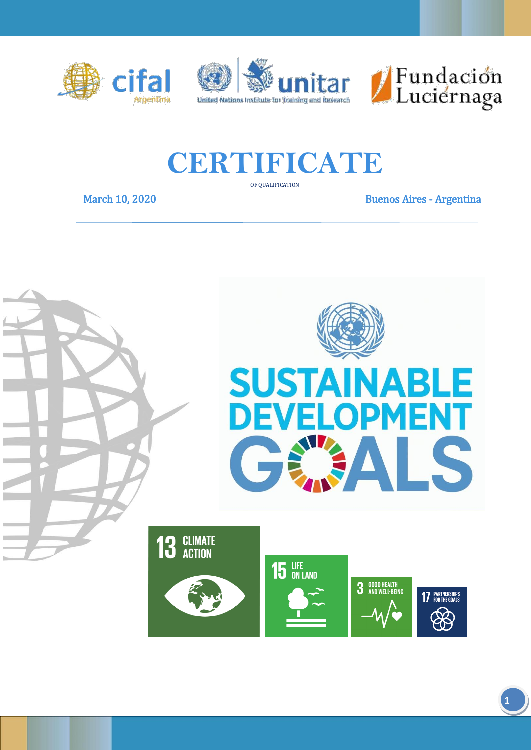





## **CERTIFICATE**

OF QUALIFICATION

March 10, 2020 **Buenos Aires - Argentina** 



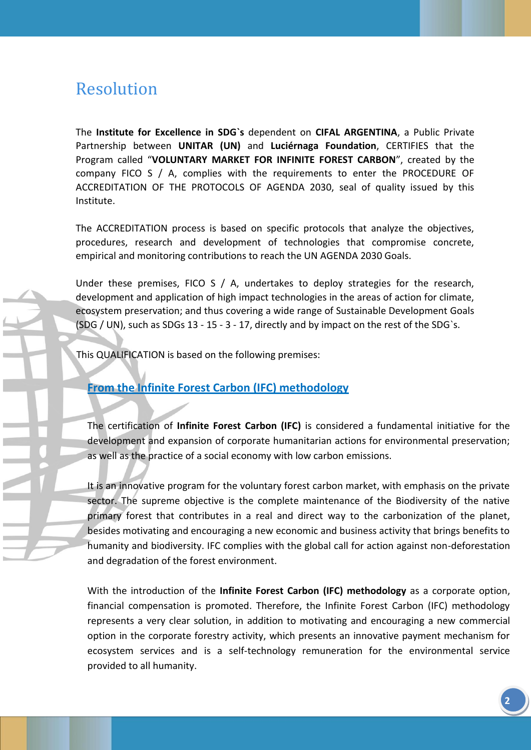## Resolution

The **Institute for Excellence in SDG`s** dependent on **CIFAL ARGENTINA**, a Public Private Partnership between **UNITAR (UN)** and **Luciérnaga Foundation**, CERTIFIES that the Program called "**VOLUNTARY MARKET FOR INFINITE FOREST CARBON**", created by the company FICO S / A, complies with the requirements to enter the PROCEDURE OF ACCREDITATION OF THE PROTOCOLS OF AGENDA 2030, seal of quality issued by this Institute.

The ACCREDITATION process is based on specific protocols that analyze the objectives, procedures, research and development of technologies that compromise concrete, empirical and monitoring contributions to reach the UN AGENDA 2030 Goals.

Under these premises, FICO S / A, undertakes to deploy strategies for the research, development and application of high impact technologies in the areas of action for climate, ecosystem preservation; and thus covering a wide range of Sustainable Development Goals (SDG / UN), such as SDGs 13 - 15 - 3 - 17, directly and by impact on the rest of the SDG`s.

This QUALIFICATION is based on the following premises:

## **From the Infinite Forest Carbon (IFC) methodology**

The certification of **Infinite Forest Carbon (IFC)** is considered a fundamental initiative for the development and expansion of corporate humanitarian actions for environmental preservation; as well as the practice of a social economy with low carbon emissions.

It is an innovative program for the voluntary forest carbon market, with emphasis on the private sector. The supreme objective is the complete maintenance of the Biodiversity of the native primary forest that contributes in a real and direct way to the carbonization of the planet, besides motivating and encouraging a new economic and business activity that brings benefits to humanity and biodiversity. IFC complies with the global call for action against non-deforestation and degradation of the forest environment.

With the introduction of the **Infinite Forest Carbon (IFC) methodology** as a corporate option, financial compensation is promoted. Therefore, the Infinite Forest Carbon (IFC) methodology represents a very clear solution, in addition to motivating and encouraging a new commercial option in the corporate forestry activity, which presents an innovative payment mechanism for ecosystem services and is a self-technology remuneration for the environmental service provided to all humanity.